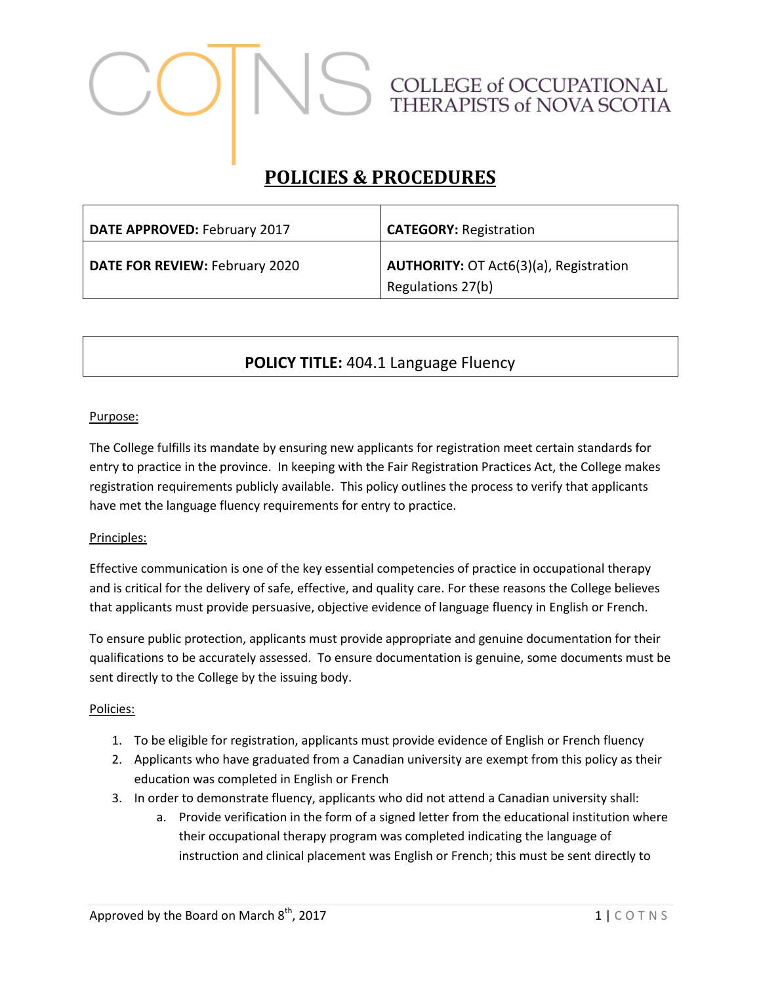# COLLEGE of OCCUPATIONAL<br>THERAPISTS of NOVA SCOTIA

# **POLICIES & PROCEDURES**

| DATE APPROVED: February 2017   | <b>CATEGORY: Registration</b>                                      |
|--------------------------------|--------------------------------------------------------------------|
| DATE FOR REVIEW: February 2020 | <b>AUTHORITY: OT Act6(3)(a), Registration</b><br>Regulations 27(b) |

## **POLICY TITLE:** 404.1 Language Fluency

### Purpose:

The College fulfills its mandate by ensuring new applicants for registration meet certain standards for entry to practice in the province. In keeping with the Fair Registration Practices Act, the College makes registration requirements publicly available. This policy outlines the process to verify that applicants have met the language fluency requirements for entry to practice.

### Principles:

Effective communication is one of the key essential competencies of practice in occupational therapy and is critical for the delivery of safe, effective, and quality care. For these reasons the College believes that applicants must provide persuasive, objective evidence of language fluency in English or French.

To ensure public protection, applicants must provide appropriate and genuine documentation for their qualifications to be accurately assessed. To ensure documentation is genuine, some documents must be sent directly to the College by the issuing body.

### Policies:

- 1. To be eligible for registration, applicants must provide evidence of English or French fluency
- 2. Applicants who have graduated from a Canadian university are exempt from this policy as their education was completed in English or French
- 3. In order to demonstrate fluency, applicants who did not attend a Canadian university shall:
	- a. Provide verification in the form of a signed letter from the educational institution where their occupational therapy program was completed indicating the language of instruction and clinical placement was English or French; this must be sent directly to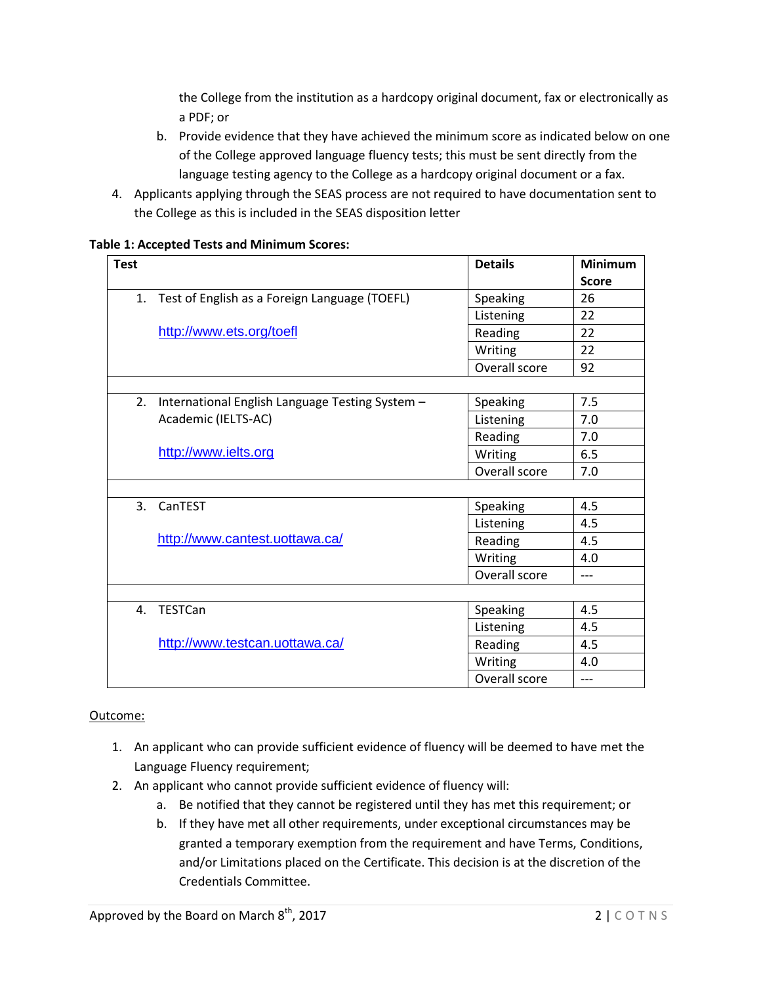the College from the institution as a hardcopy original document, fax or electronically as a PDF; or

- b. Provide evidence that they have achieved the minimum score as indicated below on one of the College approved language fluency tests; this must be sent directly from the language testing agency to the College as a hardcopy original document or a fax.
- 4. Applicants applying through the SEAS process are not required to have documentation sent to the College as this is included in the SEAS disposition letter

|  | <b>Table 1: Accepted Tests and Minimum Scores:</b> |
|--|----------------------------------------------------|
|--|----------------------------------------------------|

| <b>Test</b> |                                                 | <b>Details</b> | <b>Minimum</b> |
|-------------|-------------------------------------------------|----------------|----------------|
|             |                                                 |                | <b>Score</b>   |
| 1.          | Test of English as a Foreign Language (TOEFL)   | Speaking       | 26             |
|             |                                                 | Listening      | 22             |
|             | http://www.ets.org/toefl                        | Reading        | 22             |
|             |                                                 | Writing        | 22             |
|             |                                                 | Overall score  | 92             |
|             |                                                 |                |                |
| 2.          | International English Language Testing System - | Speaking       | 7.5            |
|             | Academic (IELTS-AC)                             | Listening      | 7.0            |
|             |                                                 | Reading        | 7.0            |
|             | http://www.ielts.org                            | Writing        | 6.5            |
|             |                                                 | Overall score  | 7.0            |
|             |                                                 |                |                |
| 3.          | CanTEST                                         | Speaking       | 4.5            |
|             |                                                 | Listening      | 4.5            |
|             | http://www.cantest.uottawa.ca/                  | Reading        | 4.5            |
|             |                                                 | Writing        | 4.0            |
|             |                                                 | Overall score  | $---$          |
|             |                                                 |                |                |
|             | 4. TESTCan                                      | Speaking       | 4.5            |
|             |                                                 | Listening      | 4.5            |
|             | http://www.testcan.uottawa.ca/                  | Reading        | 4.5            |
|             |                                                 | Writing        | 4.0            |
|             |                                                 | Overall score  | $---$          |

### Outcome:

- 1. An applicant who can provide sufficient evidence of fluency will be deemed to have met the Language Fluency requirement;
- 2. An applicant who cannot provide sufficient evidence of fluency will:
	- a. Be notified that they cannot be registered until they has met this requirement; or
	- b. If they have met all other requirements, under exceptional circumstances may be granted a temporary exemption from the requirement and have Terms, Conditions, and/or Limitations placed on the Certificate. This decision is at the discretion of the Credentials Committee.